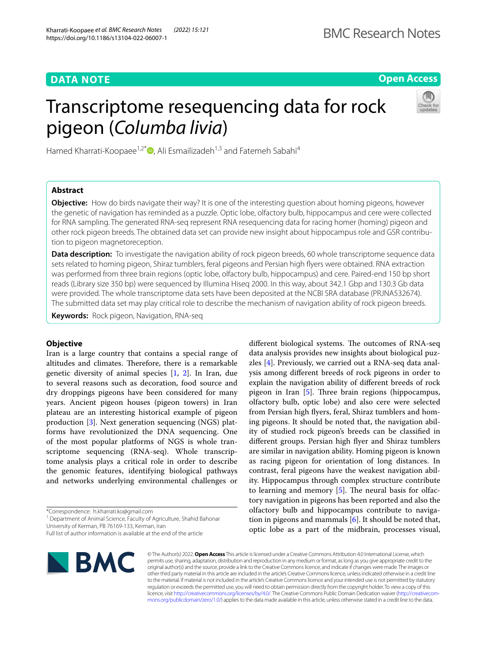## **DATA NOTE**

## **Open Access**

# Transcriptome resequencing data for rock pigeon (*Columba livia*)



Hamed Kharrati-Koopaee<sup>1,2\*</sup> $\bullet$ [,](http://orcid.org/0000-0003-2345-6919) Ali Esmailizadeh<sup>1,3</sup> and Fatemeh Sabahi<sup>4</sup>

## **Abstract**

**Objective:** How do birds navigate their way? It is one of the interesting question about homing pigeons, however the genetic of navigation has reminded as a puzzle. Optic lobe, olfactory bulb, hippocampus and cere were collected for RNA sampling. The generated RNA-seq represent RNA resequencing data for racing homer (homing) pigeon and other rock pigeon breeds. The obtained data set can provide new insight about hippocampus role and GSR contribu‑ tion to pigeon magnetoreception.

**Data description:** To investigate the navigation ability of rock pigeon breeds, 60 whole transcriptome sequence data sets related to homing pigeon, Shiraz tumblers, feral pigeons and Persian high fyers were obtained. RNA extraction was performed from three brain regions (optic lobe, olfactory bulb, hippocampus) and cere. Paired-end 150 bp short reads (Library size 350 bp) were sequenced by Illumina Hiseq 2000. In this way, about 342.1 Gbp and 130.3 Gb data were provided. The whole transcriptome data sets have been deposited at the NCBI SRA database (PRJNA532674). The submitted data set may play critical role to describe the mechanism of navigation ability of rock pigeon breeds.

**Keywords:** Rock pigeon, Navigation, RNA-seq

### **Objective**

Iran is a large country that contains a special range of altitudes and climates. Therefore, there is a remarkable genetic diversity of animal species [[1,](#page-5-0) [2\]](#page-5-1). In Iran, due to several reasons such as decoration, food source and dry droppings pigeons have been considered for many years. Ancient pigeon houses (pigeon towers) in Iran plateau are an interesting historical example of pigeon production [[3\]](#page-5-2). Next generation sequencing (NGS) platforms have revolutionized the DNA sequencing. One of the most popular platforms of NGS is whole transcriptome sequencing (RNA-seq). Whole transcriptome analysis plays a critical role in order to describe the genomic features, identifying biological pathways and networks underlying environmental challenges or

\*Correspondence: h.kharrati.ko@gmail.com

<sup>1</sup> Department of Animal Science, Faculty of Agriculture, Shahid Bahonar University of Kerman, PB 76169‑133, Kerman, Iran

Full list of author information is available at the end of the article



© The Author(s) 2022. **Open Access** This article is licensed under a Creative Commons Attribution 4.0 International License, which permits use, sharing, adaptation, distribution and reproduction in any medium or format, as long as you give appropriate credit to the original author(s) and the source, provide a link to the Creative Commons licence, and indicate if changes were made. The images or other third party material in this article are included in the article's Creative Commons licence, unless indicated otherwise in a credit line to the material. If material is not included in the article's Creative Commons licence and your intended use is not permitted by statutory regulation or exceeds the permitted use, you will need to obtain permission directly from the copyright holder. To view a copy of this licence, visit [http://creativecommons.org/licenses/by/4.0/.](http://creativecommons.org/licenses/by/4.0/) The Creative Commons Public Domain Dedication waiver (http://creativecom[mons.org/publicdomain/zero/1.0/\)](http://creativecommons.org/publicdomain/zero/1.0/) applies to the data made available in this article, unless otherwise stated in a credit line to the data.

different biological systems. The outcomes of RNA-seq data analysis provides new insights about biological puzzles [\[4](#page-5-3)]. Previously, we carried out a RNA-seq data analysis among diferent breeds of rock pigeons in order to explain the navigation ability of diferent breeds of rock pigeon in Iran  $[5]$ . Three brain regions (hippocampus, olfactory bulb, optic lobe) and also cere were selected from Persian high fyers, feral, Shiraz tumblers and homing pigeons. It should be noted that, the navigation ability of studied rock pigeon's breeds can be classifed in diferent groups. Persian high fyer and Shiraz tumblers are similar in navigation ability. Homing pigeon is known as racing pigeon for orientation of long distances. In contrast, feral pigeons have the weakest navigation ability. Hippocampus through complex structure contribute to learning and memory  $[5]$ . The neural basis for olfactory navigation in pigeons has been reported and also the olfactory bulb and hippocampus contribute to navigation in pigeons and mammals [[6\]](#page-5-5). It should be noted that, optic lobe as a part of the midbrain, processes visual,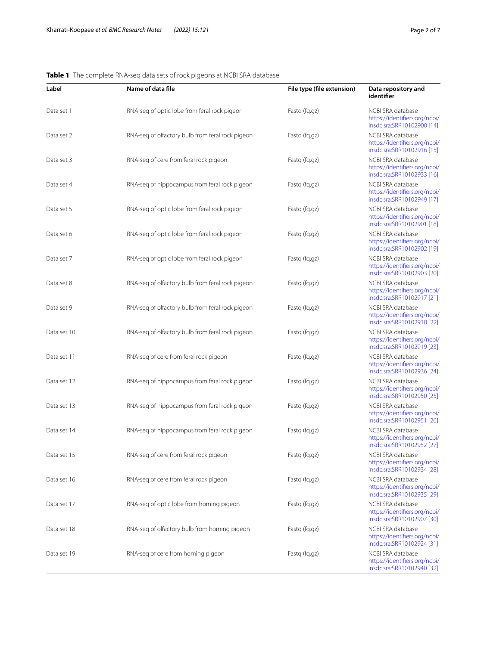## <span id="page-1-0"></span>**Table 1** The complete RNA-seq data sets of rock pigeons at NCBI SRA database

| Label       | Name of data file                                | File type (file extension) | Data repository and<br>identifier                                                |
|-------------|--------------------------------------------------|----------------------------|----------------------------------------------------------------------------------|
| Data set 1  | RNA-seq of optic lobe from feral rock pigeon     | Fastq (fq.gz)              | NCBI SRA database<br>https://identifiers.org/ncbi/<br>insdc.sra:SRR10102900 [14] |
| Data set 2  | RNA-seq of olfactory bulb from feral rock pigeon | Fastg (fg.gz)              | NCBI SRA database<br>https://identifiers.org/ncbi/<br>insdc.sra:SRR10102916 [15] |
| Data set 3  | RNA-seq of cere from feral rock pigeon           | Fastq (fq.gz)              | NCBI SRA database<br>https://identifiers.org/ncbi/<br>insdc.sra:SRR10102933 [16] |
| Data set 4  | RNA-seq of hippocampus from feral rock pigeon    | Fastq (fq.gz)              | NCBI SRA database<br>https://identifiers.org/ncbi/<br>insdc.sra:SRR10102949 [17] |
| Data set 5  | RNA-seq of optic lobe from feral rock pigeon     | Fastq (fq.gz)              | NCBI SRA database<br>https://identifiers.org/ncbi/<br>insdc.sra:SRR10102901 [18] |
| Data set 6  | RNA-seq of optic lobe from feral rock pigeon     | Fastq (fq.gz)              | NCBI SRA database<br>https://identifiers.org/ncbi/<br>insdc.sra:SRR10102902 [19] |
| Data set 7  | RNA-seq of optic lobe from feral rock pigeon     | Fastq (fq.gz)              | NCBI SRA database<br>https://identifiers.org/ncbi/<br>insdc.sra:SRR10102903 [20] |
| Data set 8  | RNA-seq of olfactory bulb from feral rock pigeon | Fastq (fq.gz)              | NCBI SRA database<br>https://identifiers.org/ncbi/<br>insdc.sra:SRR10102917 [21] |
| Data set 9  | RNA-seq of olfactory bulb from feral rock pigeon | Fastq (fq.gz)              | NCBI SRA database<br>https://identifiers.org/ncbi/<br>insdc.sra:SRR10102918 [22] |
| Data set 10 | RNA-seq of olfactory bulb from feral rock pigeon | Fastq (fq.gz)              | NCBI SRA database<br>https://identifiers.org/ncbi/<br>insdc.sra:SRR10102919 [23] |
| Data set 11 | RNA-seq of cere from feral rock pigeon           | Fastq (fq.gz)              | NCBI SRA database<br>https://identifiers.org/ncbi/<br>insdc.sra:SRR10102936 [24] |
| Data set 12 | RNA-seq of hippocampus from feral rock pigeon    | Fastq (fq.gz)              | NCBI SRA database<br>https://identifiers.org/ncbi/<br>insdc.sra:SRR10102950 [25] |
| Data set 13 | RNA-seq of hippocampus from feral rock pigeon    | Fastg (fg.gz)              | NCBI SRA database<br>https://identifiers.org/ncbi/<br>insdc.sra:SRR10102951 [26] |
| Data set 14 | RNA-seq of hippocampus from feral rock pigeon    | Fastq (fq.gz)              | NCBI SRA database<br>https://identifiers.org/ncbi/<br>insdc.sra:SRR10102952 [27] |
| Data set 15 | RNA-seg of cere from feral rock pigeon           | Fastq (fq.gz)              | NCBI SRA database<br>https://identifiers.org/ncbi/<br>insdc.sra:SRR10102934 [28] |
| Data set 16 | RNA-seq of cere from feral rock pigeon           | Fastq (fq.gz)              | NCBI SRA database<br>https://identifiers.org/ncbi/<br>insdc.sra:SRR10102935 [29] |
| Data set 17 | RNA-seq of optic lobe from homing pigeon         | Fastq (fq.gz)              | NCBI SRA database<br>https://identifiers.org/ncbi/<br>insdc.sra:SRR10102907 [30] |
| Data set 18 | RNA-seq of olfactory bulb from homing pigeon     | Fastq (fq.gz)              | NCBI SRA database<br>https://identifiers.org/ncbi/<br>insdc.sra:SRR10102924 [31] |
| Data set 19 | RNA-seq of cere from homing pigeon               | Fastq (fq.gz)              | NCBI SRA database<br>https://identifiers.org/ncbi/<br>insdc.sra:SRR10102940 [32] |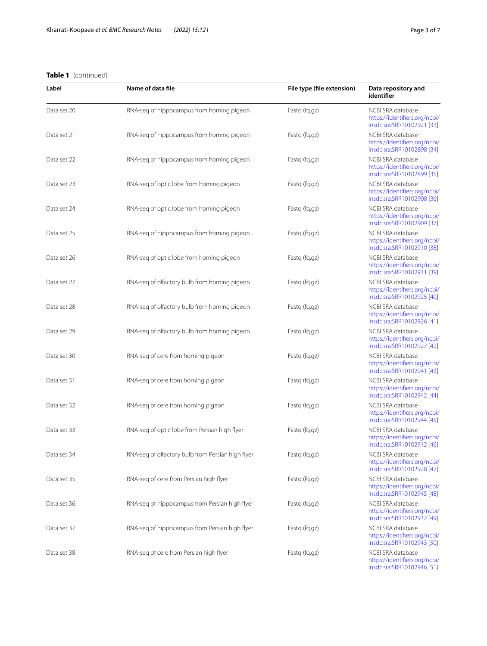## **Table 1** (continued)

| Label       | Name of data file                                 | File type (file extension) | Data repository and<br>identifier                                                |
|-------------|---------------------------------------------------|----------------------------|----------------------------------------------------------------------------------|
| Data set 20 | RNA-seq of hippocampus from homing pigeon         | Fastq (fq.gz)              | NCBI SRA database<br>https://identifiers.org/ncbi/<br>insdc.sra:SRR10102921 [33] |
| Data set 21 | RNA-seq of hippocampus from homing pigeon         | Fastq (fq.gz)              | NCBI SRA database<br>https://identifiers.org/ncbi/<br>insdc.sra:SRR10102898 [34] |
| Data set 22 | RNA-seq of hippocampus from homing pigeon         | Fastq (fq.gz)              | NCBI SRA database<br>https://identifiers.org/ncbi/<br>insdc.sra:SRR10102899 [35] |
| Data set 23 | RNA-seq of optic lobe from homing pigeon          | Fastq (fq.qz)              | NCBI SRA database<br>https://identifiers.org/ncbi/<br>insdc.sra:SRR10102908 [36] |
| Data set 24 | RNA-seq of optic lobe from homing pigeon          | Fastq (fq.gz)              | NCBI SRA database<br>https://identifiers.org/ncbi/<br>insdc.sra:SRR10102909 [37] |
| Data set 25 | RNA-seq of hippocampus from homing pigeon         | Fastq (fq.gz)              | NCBI SRA database<br>https://identifiers.org/ncbi/<br>insdc.sra:SRR10102910 [38] |
| Data set 26 | RNA-seq of optic lobe from homing pigeon          | Fastq (fq.qz)              | NCBI SRA database<br>https://identifiers.org/ncbi/<br>insdc.sra:SRR10102911 [39] |
| Data set 27 | RNA-seq of olfactory bulb from homing pigeon      | Fastq (fq.gz)              | NCBI SRA database<br>https://identifiers.org/ncbi/<br>insdc.sra:SRR10102925 [40] |
| Data set 28 | RNA-seq of olfactory bulb from homing pigeon      | Fastq (fq.gz)              | NCBI SRA database<br>https://identifiers.org/ncbi/<br>insdc.sra:SRR10102926 [41] |
| Data set 29 | RNA-seq of olfactory bulb from homing pigeon      | Fastq (fq.gz)              | NCBI SRA database<br>https://identifiers.org/ncbi/<br>insdc.sra:SRR10102927 [42] |
| Data set 30 | RNA-seq of cere from homing pigeon                | Fastq (fq.gz)              | NCBI SRA database<br>https://identifiers.org/ncbi/<br>insdc.sra:SRR10102941 [43] |
| Data set 31 | RNA-seq of cere from homing pigeon                | Fastq (fq.gz)              | NCBI SRA database<br>https://identifiers.org/ncbi/<br>insdc.sra:SRR10102942 [44] |
| Data set 32 | RNA-seg of cere from homing pigeon                | Fastq (fq.qz)              | NCBI SRA database<br>https://identifiers.org/ncbi/<br>insdc.sra:SRR10102944 [45] |
| Data set 33 | RNA-seq of optic lobe from Persian high flyer     | Fastq (fq.gz)              | NCBI SRA database<br>https://identifiers.org/ncbi/<br>insdc.sra:SRR10102912 [46] |
| Data set 34 | RNA-seq of olfactory bulb from Persian high flyer | Fastq (fq.gz)              | NCBI SRA database<br>https://identifiers.org/ncbi/<br>insdc.sra:SRR10102928 [47] |
| Data set 35 | RNA-seq of cere from Persian high flyer           | Fastq (fq.gz)              | NCBI SRA database<br>https://identifiers.org/ncbi/<br>insdc.sra:SRR10102945 [48] |
| Data set 36 | RNA-seq of hippocampus from Persian high flyer    | Fastg (fg.gz)              | NCBI SRA database<br>https://identifiers.org/ncbi/<br>insdc.sra:SRR10102932 [49] |
| Data set 37 | RNA-seq of hippocampus from Persian high flyer    | Fastq (fq.gz)              | NCBI SRA database<br>https://identifiers.org/ncbi/<br>insdc.sra:SRR10102943 [50] |
| Data set 38 | RNA-seq of cere from Persian high flyer           | Fastq (fq.gz)              | NCBI SRA database<br>https://identifiers.org/ncbi/<br>insdc.sra:SRR10102946 [51] |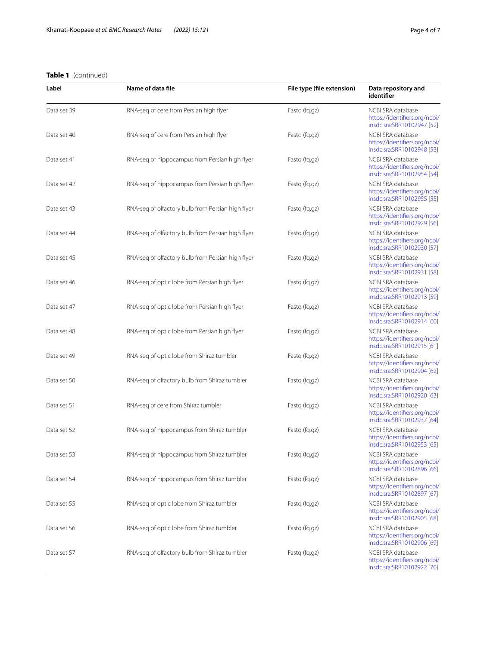## **Table 1** (continued)

| Label       | Name of data file                                 | File type (file extension) | Data repository and<br>identifier                                                |
|-------------|---------------------------------------------------|----------------------------|----------------------------------------------------------------------------------|
| Data set 39 | RNA-seq of cere from Persian high flyer           | Fastq (fq.gz)              | NCBI SRA database<br>https://identifiers.org/ncbi/<br>insdc.sra:SRR10102947 [52] |
| Data set 40 | RNA-seq of cere from Persian high flyer           | Fastq (fq.gz)              | NCBI SRA database<br>https://identifiers.org/ncbi/<br>insdc.sra:SRR10102948 [53] |
| Data set 41 | RNA-seq of hippocampus from Persian high flyer    | Fastq (fq.gz)              | NCBI SRA database<br>https://identifiers.org/ncbi/<br>insdc.sra:SRR10102954 [54] |
| Data set 42 | RNA-seq of hippocampus from Persian high flyer    | Fastg (fg.gz)              | NCBI SRA database<br>https://identifiers.org/ncbi/<br>insdc.sra:SRR10102955 [55] |
| Data set 43 | RNA-seq of olfactory bulb from Persian high flyer | Fastq (fq.gz)              | NCBI SRA database<br>https://identifiers.org/ncbi/<br>insdc.sra:SRR10102929 [56] |
| Data set 44 | RNA-seq of olfactory bulb from Persian high flyer | Fastq (fq.gz)              | NCBI SRA database<br>https://identifiers.org/ncbi/<br>insdc.sra:SRR10102930 [57] |
| Data set 45 | RNA-seq of olfactory bulb from Persian high flyer | Fastq (fq.gz)              | NCBI SRA database<br>https://identifiers.org/ncbi/<br>insdc.sra:SRR10102931 [58] |
| Data set 46 | RNA-seq of optic lobe from Persian high flyer     | Fastq (fq.gz)              | NCBI SRA database<br>https://identifiers.org/ncbi/<br>insdc.sra:SRR10102913 [59] |
| Data set 47 | RNA-seg of optic lobe from Persian high flyer     | Fastq (fq.gz)              | NCBI SRA database<br>https://identifiers.org/ncbi/<br>insdc.sra:SRR10102914 [60] |
| Data set 48 | RNA-seq of optic lobe from Persian high flyer     | Fastq (fq.gz)              | NCBI SRA database<br>https://identifiers.org/ncbi/<br>insdc.sra:SRR10102915 [61] |
| Data set 49 | RNA-seq of optic lobe from Shiraz tumbler         | Fastq (fq.gz)              | NCBI SRA database<br>https://identifiers.org/ncbi/<br>insdc.sra:SRR10102904 [62] |
| Data set 50 | RNA-seq of olfactory bulb from Shiraz tumbler     | Fastq (fq.gz)              | NCBI SRA database<br>https://identifiers.org/ncbi/<br>insdc.sra:SRR10102920 [63] |
| Data set 51 | RNA-seq of cere from Shiraz tumbler               | Fastq (fq.gz)              | NCBI SRA database<br>https://identifiers.org/ncbi/<br>insdc.sra:SRR10102937 [64] |
| Data set 52 | RNA-seg of hippocampus from Shiraz tumbler        | Fastq (fq.gz)              | NCBI SRA database<br>https://identifiers.org/ncbi/<br>insdc.sra:SRR10102953 [65] |
| Data set 53 | RNA-seq of hippocampus from Shiraz tumbler        | Fastq (fq.gz)              | NCBI SRA database<br>https://identifiers.org/ncbi/<br>insdc.sra:SRR10102896 [66] |
| Data set 54 | RNA-seq of hippocampus from Shiraz tumbler        | Fastq (fq.gz)              | NCBI SRA database<br>https://identifiers.org/ncbi/<br>insdc.sra:SRR10102897 [67] |
| Data set 55 | RNA-seq of optic lobe from Shiraz tumbler         | Fastq (fq.gz)              | NCBI SRA database<br>https://identifiers.org/ncbi/<br>insdc.sra:SRR10102905 [68] |
| Data set 56 | RNA-seq of optic lobe from Shiraz tumbler         | Fastq (fq.gz)              | NCBI SRA database<br>https://identifiers.org/ncbi/<br>insdc.sra:SRR10102906 [69] |
| Data set 57 | RNA-seq of olfactory bulb from Shiraz tumbler     | Fastq (fq.gz)              | NCBI SRA database<br>https://identifiers.org/ncbi/<br>insdc.sra:SRR10102922 [70] |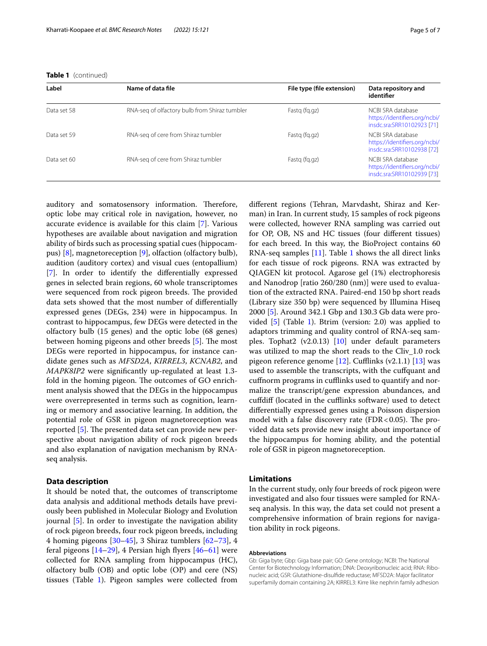|  | <b>Table 1</b> (continued) |
|--|----------------------------|
|--|----------------------------|

| Label       | Name of data file                             | File type (file extension) | Data repository and<br>identifier                                               |
|-------------|-----------------------------------------------|----------------------------|---------------------------------------------------------------------------------|
| Data set 58 | RNA-seq of olfactory bulb from Shiraz tumbler | Fastg (fg.gz)              | NCBLSRA database<br>https://identifiers.org/ncbi/<br>insdc.sra:SRR10102923 [71] |
| Data set 59 | RNA-seg of cere from Shiraz tumbler           | Fastg (fg.gz)              | NCBLSRA database<br>https://identifiers.org/ncbi/<br>insdc.sra:SRR10102938 [72] |
| Data set 60 | RNA-seg of cere from Shiraz tumbler           | Fastg (fg.gz)              | NCBLSRA database<br>https://identifiers.org/ncbi/<br>insdc.sra:SRR10102939 [73] |

auditory and somatosensory information. Therefore, optic lobe may critical role in navigation, however, no accurate evidence is available for this claim [\[7](#page-5-32)]. Various hypotheses are available about navigation and migration ability of birds such as processing spatial cues (hippocampus) [\[8\]](#page-5-33), magnetoreception [\[9](#page-5-34)], olfaction (olfactory bulb), audition (auditory cortex) and visual cues (entopallium) [[7\]](#page-5-32). In order to identify the diferentially expressed genes in selected brain regions, 60 whole transcriptomes were sequenced from rock pigeon breeds. The provided data sets showed that the most number of diferentially expressed genes (DEGs, 234) were in hippocampus. In contrast to hippocampus, few DEGs were detected in the olfactory bulb (15 genes) and the optic lobe (68 genes) between homing pigeons and other breeds  $[5]$  $[5]$ . The most DEGs were reported in hippocampus, for instance candidate genes such as *MFSD2A*, *KIRREL3*, *KCNAB2*, and *MAPK8IP2* were signifcantly up-regulated at least 1.3 fold in the homing pigeon. The outcomes of GO enrichment analysis showed that the DEGs in the hippocampus were overrepresented in terms such as cognition, learning or memory and associative learning. In addition, the potential role of GSR in pigeon magnetoreception was reported  $[5]$  $[5]$ . The presented data set can provide new perspective about navigation ability of rock pigeon breeds and also explanation of navigation mechanism by RNAseq analysis.

#### **Data description**

It should be noted that, the outcomes of transcriptome data analysis and additional methods details have previously been published in Molecular Biology and Evolution journal [[5\]](#page-5-4). In order to investigate the navigation ability of rock pigeon breeds, four rock pigeon breeds, including 4 homing pigeons  $[30-45]$  $[30-45]$ , 3 Shiraz tumblers  $[62-73]$  $[62-73]$ , 4 feral pigeons  $[14–29]$  $[14–29]$  $[14–29]$ , 4 Persian high flyers  $[46–61]$  $[46–61]$  were collected for RNA sampling from hippocampus (HC), olfactory bulb (OB) and optic lobe (OP) and cere (NS) tissues (Table [1\)](#page-1-0). Pigeon samples were collected from diferent regions (Tehran, Marvdasht, Shiraz and Kerman) in Iran. In current study, 15 samples of rock pigeons were collected, however RNA sampling was carried out for OP, OB, NS and HC tissues (four diferent tissues) for each breed. In this way, the BioProject contains 60 RNA-seq samples [\[11](#page-5-35)]. Table [1](#page-1-0) shows the all direct links for each tissue of rock pigeons. RNA was extracted by QIAGEN kit protocol. Agarose gel (1%) electrophoresis and Nanodrop [ratio 260/280 (nm)] were used to evaluation of the extracted RNA. Paired-end 150 bp short reads (Library size 350 bp) were sequenced by Illumina Hiseq 2000 [\[5](#page-5-4)]. Around 342.1 Gbp and 130.3 Gb data were provided [\[5](#page-5-4)] (Table [1](#page-1-0)). Btrim (version: 2.0) was applied to adaptors trimming and quality control of RNA-seq samples. Tophat2 (v2.0.13) [\[10](#page-5-36)] under default parameters was utilized to map the short reads to the Cliv\_1.0 rock pigeon reference genome  $[12]$  $[12]$ . Cufflinks  $(v2.1.1)$   $[13]$  $[13]$  was used to assemble the transcripts, with the cufquant and cufnorm programs in cufinks used to quantify and normalize the transcript/gene expression abundances, and cufdif (located in the cufinks software) used to detect diferentially expressed genes using a Poisson dispersion model with a false discovery rate (FDR <  $0.05$ ). The provided data sets provide new insight about importance of the hippocampus for homing ability, and the potential role of GSR in pigeon magnetoreception.

#### **Limitations**

In the current study, only four breeds of rock pigeon were investigated and also four tissues were sampled for RNAseq analysis. In this way, the data set could not present a comprehensive information of brain regions for navigation ability in rock pigeons.

#### **Abbreviations**

Gb: Giga byte; Gbp: Giga base pair; GO: Gene ontology; NCBI: The National Center for Biotechnology Information; DNA: Deoxyribonucleic acid; RNA: Ribo‑ nucleic acid; GSR: Glutathione-disulfde reductase; MFSD2A: Major facilitator superfamily domain containing 2A; KIRREL3: Kirre like nephrin family adhesion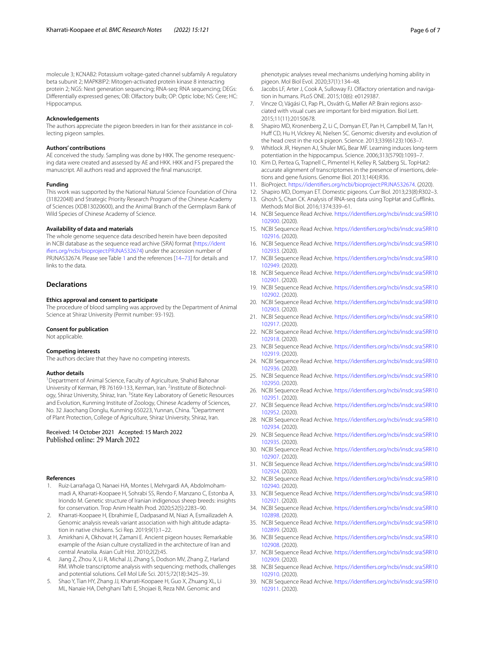molecule 3; KCNAB2: Potassium voltage-gated channel subfamily A regulatory beta subunit 2; MAPK8IP2: Mitogen-activated protein kinase 8 interacting protein 2; NGS: Next generation sequencing; RNA-seq: RNA sequencing; DEGs: Diferentially expressed genes; OB: Olfactory bulb; OP: Optic lobe; NS: Cere; HC: Hippocampus.

#### **Acknowledgements**

The authors appreciate the pigeon breeders in Iran for their assistance in collecting pigeon samples.

#### **Authors' contributions**

AE conceived the study. Sampling was done by HKK. The genome resequencing data were created and assessed by AE and HKK. HKK and FS prepared the manuscript. All authors read and approved the fnal manuscript.

#### **Funding**

This work was supported by the National Natural Science Foundation of China (31822048) and Strategic Priority Research Program of the Chinese Academy of Sciences (XDB13020600), and the Animal Branch of the Germplasm Bank of Wild Species of Chinese Academy of Science.

#### **Availability of data and materials**

The whole genome sequence data described herein have been deposited in NCBI database as the sequence read archive (SRA) format ([https://ident](https://identifiers.org/ncbi/bioproject:PRJNA532674) [ifers.org/ncbi/bioproject:PRJNA532674\)](https://identifiers.org/ncbi/bioproject:PRJNA532674) under the accession number of PRJNA532674. Please see Table [1](#page-1-0) and the references [[14](#page-5-6)–[73](#page-6-31)] for details and links to the data.

#### **Declarations**

#### **Ethics approval and consent to participate**

The procedure of blood sampling was approved by the Department of Animal Science at Shiraz University (Permit number: 93-192).

#### **Consent for publication**

Not applicable.

#### **Competing interests**

The authors declare that they have no competing interests.

#### **Author details**

<sup>1</sup> Department of Animal Science, Faculty of Agriculture, Shahid Bahonar University of Kerman, PB 76169-133, Kerman, Iran. <sup>2</sup>Institute of Biotechnology, Shiraz University, Shiraz, Iran. <sup>3</sup>State Key Laboratory of Genetic Resources and Evolution, Kunming Institute of Zoology, Chinese Academy of Sciences, No. 32 Jiaochang Donglu, Kunming 650223, Yunnan, China. <sup>4</sup>Department of Plant Protection, College of Agriculture, Shiraz University, Shiraz, Iran.

## Received: 14 October 2021 Accepted: 15 March 2022

#### **References**

- <span id="page-5-0"></span>Ruiz-Larrañaga O, Nanaei HA, Montes I, Mehrgardi AA, Abdolmohammadi A, Kharrati-Koopaee H, Sohrabi SS, Rendo F, Manzano C, Estonba A, Iriondo M. Genetic structure of Iranian indigenous sheep breeds: insights for conservation. Trop Anim Health Prod. 2020;52(5):2283–90.
- <span id="page-5-1"></span>2. Kharrati-Koopaee H, Ebrahimie E, Dadpasand M, Niazi A, Esmailizadeh A. Genomic analysis reveals variant association with high altitude adaptation in native chickens. Sci Rep. 2019;9(1):1–22.
- <span id="page-5-2"></span>3. Amirkhani A, Okhovat H, Zamani E. Ancient pigeon houses: Remarkable example of the Asian culture crystallized in the architecture of Iran and central Anatolia. Asian Cult Hist. 2010;2(2):45.
- <span id="page-5-3"></span>Jiang Z, Zhou X, Li R, Michal JJ, Zhang S, Dodson MV, Zhang Z, Harland RM. Whole transcriptome analysis with sequencing: methods, challenges and potential solutions. Cell Mol Life Sci. 2015;72(18):3425–39.
- <span id="page-5-4"></span>5. Shao Y, Tian HY, Zhang JJ, Kharrati-Koopaee H, Guo X, Zhuang XL, Li ML, Nanaie HA, Dehghani Tafti E, Shojaei B, Reza NM. Genomic and

phenotypic analyses reveal mechanisms underlying homing ability in pigeon. Mol Biol Evol. 2020;37(1):134–48.

- <span id="page-5-5"></span>6. Jacobs LF, Arter J, Cook A, Sulloway FJ. Olfactory orientation and navigation in humans. PLoS ONE. 2015;10(6): e0129387.
- <span id="page-5-32"></span>7. Vincze O, Vágási CI, Pap PL, Osváth G, Møller AP. Brain regions associated with visual cues are important for bird migration. Biol Lett. 2015;11(11):20150678.
- <span id="page-5-33"></span>8. Shapiro MD, Kronenberg Z, Li C, Domyan ET, Pan H, Campbell M, Tan H, Huff CD, Hu H, Vickrey AI, Nielsen SC. Genomic diversity and evolution of the head crest in the rock pigeon. Science. 2013;339(6123):1063–7.
- <span id="page-5-34"></span>9. Whitlock JR, Heynen AJ, Shuler MG, Bear MF. Learning induces long-term potentiation in the hippocampus. Science. 2006;313(5790):1093–7.
- <span id="page-5-36"></span>10. Kim D, Pertea G, Trapnell C, Pimentel H, Kelley R, Salzberg SL. TopHat2: accurate alignment of transcriptomes in the presence of insertions, deletions and gene fusions. Genome Biol. 2013;14(4):R36.
- <span id="page-5-35"></span>11. BioProject. [https://identifers.org/ncbi/bioproject:PRJNA532674.](https://identifiers.org/ncbi/bioproject:PRJNA532674) (2020).
- <span id="page-5-38"></span><span id="page-5-37"></span>12. Shapiro MD, Domyan ET. Domestic pigeons. Curr Biol. 2013;23(8):R302–3. 13. Ghosh S, Chan CK. Analysis of RNA-seq data using TopHat and Cufflinks.
- Methods Mol Biol. 2016;1374:339–61.
- <span id="page-5-6"></span>14. NCBI Sequence Read Archive. [https://identifers.org/ncbi/insdc.sra:SRR10](https://identifiers.org/ncbi/insdc.sra:SRR10102900) [102900.](https://identifiers.org/ncbi/insdc.sra:SRR10102900) (2020).
- <span id="page-5-7"></span>15. NCBI Sequence Read Archive. [https://identifers.org/ncbi/insdc.sra:SRR10](https://identifiers.org/ncbi/insdc.sra:SRR10102916) [102916.](https://identifiers.org/ncbi/insdc.sra:SRR10102916) (2020).
- <span id="page-5-8"></span>16. NCBI Sequence Read Archive. [https://identifers.org/ncbi/insdc.sra:SRR10](https://identifiers.org/ncbi/insdc.sra:SRR10102933) [102933.](https://identifiers.org/ncbi/insdc.sra:SRR10102933) (2020).
- <span id="page-5-9"></span>17. NCBI Sequence Read Archive. [https://identifers.org/ncbi/insdc.sra:SRR10](https://identifiers.org/ncbi/insdc.sra:SRR10102949) [102949.](https://identifiers.org/ncbi/insdc.sra:SRR10102949) (2020).
- <span id="page-5-10"></span>18. NCBI Sequence Read Archive. [https://identifers.org/ncbi/insdc.sra:SRR10](https://identifiers.org/ncbi/insdc.sra:SRR10102901) [102901.](https://identifiers.org/ncbi/insdc.sra:SRR10102901) (2020).
- <span id="page-5-11"></span>19. NCBI Sequence Read Archive. [https://identifers.org/ncbi/insdc.sra:SRR10](https://identifiers.org/ncbi/insdc.sra:SRR10102902) [102902.](https://identifiers.org/ncbi/insdc.sra:SRR10102902) (2020).
- <span id="page-5-12"></span>20. NCBI Sequence Read Archive. [https://identifers.org/ncbi/insdc.sra:SRR10](https://identifiers.org/ncbi/insdc.sra:SRR10102903) [102903.](https://identifiers.org/ncbi/insdc.sra:SRR10102903) (2020).
- <span id="page-5-13"></span>21. NCBI Sequence Read Archive. [https://identifers.org/ncbi/insdc.sra:SRR10](https://identifiers.org/ncbi/insdc.sra:SRR10102917) [102917.](https://identifiers.org/ncbi/insdc.sra:SRR10102917) (2020).
- <span id="page-5-14"></span>22. NCBI Sequence Read Archive. [https://identifers.org/ncbi/insdc.sra:SRR10](https://identifiers.org/ncbi/insdc.sra:SRR10102918) [102918.](https://identifiers.org/ncbi/insdc.sra:SRR10102918) (2020).
- <span id="page-5-15"></span>23. NCBI Sequence Read Archive. [https://identifers.org/ncbi/insdc.sra:SRR10](https://identifiers.org/ncbi/insdc.sra:SRR10102919) [102919.](https://identifiers.org/ncbi/insdc.sra:SRR10102919) (2020).
- <span id="page-5-16"></span>24. NCBI Sequence Read Archive. [https://identifers.org/ncbi/insdc.sra:SRR10](https://identifiers.org/ncbi/insdc.sra:SRR10102936) [102936.](https://identifiers.org/ncbi/insdc.sra:SRR10102936) (2020).
- <span id="page-5-17"></span>25. NCBI Sequence Read Archive. [https://identifers.org/ncbi/insdc.sra:SRR10](https://identifiers.org/ncbi/insdc.sra:SRR10102950) [102950.](https://identifiers.org/ncbi/insdc.sra:SRR10102950) (2020).
- <span id="page-5-18"></span>26. NCBI Sequence Read Archive. [https://identifers.org/ncbi/insdc.sra:SRR10](https://identifiers.org/ncbi/insdc.sra:SRR10102951) [102951.](https://identifiers.org/ncbi/insdc.sra:SRR10102951) (2020).
- <span id="page-5-19"></span>27. NCBI Sequence Read Archive. [https://identifers.org/ncbi/insdc.sra:SRR10](https://identifiers.org/ncbi/insdc.sra:SRR10102952) [102952.](https://identifiers.org/ncbi/insdc.sra:SRR10102952) (2020).
- <span id="page-5-20"></span>28. NCBI Sequence Read Archive. [https://identifers.org/ncbi/insdc.sra:SRR10](https://identifiers.org/ncbi/insdc.sra:SRR10102934) [102934.](https://identifiers.org/ncbi/insdc.sra:SRR10102934) (2020).
- <span id="page-5-21"></span>29. NCBI Sequence Read Archive. [https://identifers.org/ncbi/insdc.sra:SRR10](https://identifiers.org/ncbi/insdc.sra:SRR10102935) [102935.](https://identifiers.org/ncbi/insdc.sra:SRR10102935) (2020).
- <span id="page-5-22"></span>30. NCBI Sequence Read Archive. [https://identifers.org/ncbi/insdc.sra:SRR10](https://identifiers.org/ncbi/insdc.sra:SRR10102907) [102907.](https://identifiers.org/ncbi/insdc.sra:SRR10102907) (2020).
- <span id="page-5-23"></span>31. NCBI Sequence Read Archive. [https://identifers.org/ncbi/insdc.sra:SRR10](https://identifiers.org/ncbi/insdc.sra:SRR10102924) [102924.](https://identifiers.org/ncbi/insdc.sra:SRR10102924) (2020).
- <span id="page-5-24"></span>32. NCBI Sequence Read Archive. [https://identifers.org/ncbi/insdc.sra:SRR10](https://identifiers.org/ncbi/insdc.sra:SRR10102940) [102940.](https://identifiers.org/ncbi/insdc.sra:SRR10102940) (2020).
- <span id="page-5-25"></span>33. NCBI Sequence Read Archive. [https://identifers.org/ncbi/insdc.sra:SRR10](https://identifiers.org/ncbi/insdc.sra:SRR10102921) [102921.](https://identifiers.org/ncbi/insdc.sra:SRR10102921) (2020).
- <span id="page-5-26"></span>34. NCBI Sequence Read Archive. [https://identifers.org/ncbi/insdc.sra:SRR10](https://identifiers.org/ncbi/insdc.sra:SRR10102898) [102898.](https://identifiers.org/ncbi/insdc.sra:SRR10102898) (2020).
- <span id="page-5-27"></span>35. NCBI Sequence Read Archive. [https://identifers.org/ncbi/insdc.sra:SRR10](https://identifiers.org/ncbi/insdc.sra:SRR10102899) [102899.](https://identifiers.org/ncbi/insdc.sra:SRR10102899) (2020).
- <span id="page-5-28"></span>36. NCBI Sequence Read Archive. [https://identifers.org/ncbi/insdc.sra:SRR10](https://identifiers.org/ncbi/insdc.sra:SRR10102908) [102908.](https://identifiers.org/ncbi/insdc.sra:SRR10102908) (2020).
- <span id="page-5-29"></span>37. NCBI Sequence Read Archive. [https://identifers.org/ncbi/insdc.sra:SRR10](https://identifiers.org/ncbi/insdc.sra:SRR10102909) [102909.](https://identifiers.org/ncbi/insdc.sra:SRR10102909) (2020).
- <span id="page-5-30"></span>38. NCBI Sequence Read Archive. [https://identifers.org/ncbi/insdc.sra:SRR10](https://identifiers.org/ncbi/insdc.sra:SRR10102910) [102910.](https://identifiers.org/ncbi/insdc.sra:SRR10102910) (2020).
- <span id="page-5-31"></span>39. NCBI Sequence Read Archive. [https://identifers.org/ncbi/insdc.sra:SRR10](https://identifiers.org/ncbi/insdc.sra:SRR10102911) [102911.](https://identifiers.org/ncbi/insdc.sra:SRR10102911) (2020).